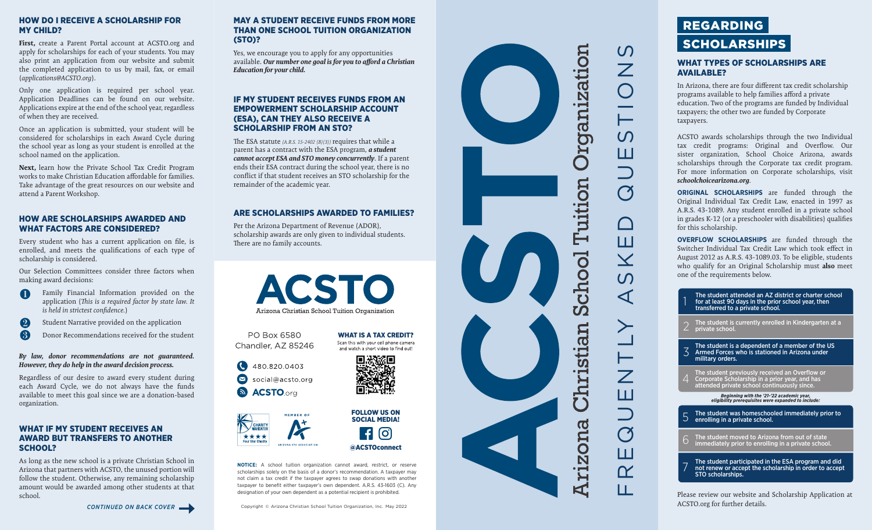# HOW DO I RECEIVE A SCHOLARSHIP FOR MY CHILD?

**First,** create a Parent Portal account at ACSTO.org and apply for scholarships for each of your students. You may also print an application from our website and submit the completed application to us by mail, fax, or email (*applications@ACSTO.org*).

Only one application is required per school year. Application Deadlines can be found on our website. Applications expire at the end of the school year, regardless of when they are received.

Once an application is submitted, your student will be considered for scholarships in each Award Cycle during the school year as long as your student is enrolled at the school named on the application.

**Next,** learn how the Private School Tax Credit Program works to make Christian Education affordable for families. Take advantage of the great resources on our website and attend a Parent Workshop.

# HOW ARE SCHOLARSHIPS AWARDED AND WHAT FACTORS ARE CONSIDERED?

Every student who has a current application on file, is enrolled, and meets the qualifications of each type of scholarship is considered.

Our Selection Committees consider three factors when making award decisions:

- Family Financial Information provided on the  $\blacksquare$ application (*This is a required factor by state law. It is held in strictest confidence.* )
- $\boldsymbol{2}$ Student Narrative provided on the application

 $\left(3\right)$ Donor Recommendations received for the student

#### *By law, donor recommendations are not guaranteed. However, they do help in the award decision process.*

Regardless of our desire to award every student during each Award Cycle, we do not always have the funds available to meet this goal since we are a donation-based organization.

# WHAT IF MY STUDENT RECEIVES AN AWARD BUT TRANSFERS TO ANOTHER SCHOOL?

As long as the new school is a private Christian School in Arizona that partners with ACSTO, the unused portion will follow the student. Otherwise, any remaining scholarship amount would be awarded among other students at that school.

*CONTINUED ON BACK COVER*

# MAY A STUDENT RECEIVE FUNDS FROM MORE THAN ONE SCHOOL TUITION ORGANIZATION (STO)?

Yes, we encourage you to apply for any opportunities available. *Our number one goal is for you to afford a Christian Education for your child.* 

# IF MY STUDENT RECEIVES FUNDS FROM AN EMPOWERMENT SCHOLARSHIP ACCOUNT (ESA), CAN THEY ALSO RECEIVE A SCHOLARSHIP FROM AN STO?

The ESA statute *(A.R.S. 15-2402 (B)(3))* requires that while a parent has a contract with the ESA program, *a student cannot accept ESA and STO money concurrently*. If a parent ends their ESA contract during the school year, there is no conflict if that student receives an STO scholarship for the remainder of the academic year.

# ARE SCHOLARSHIPS AWARDED TO FAMILIES?

Per the Arizona Department of Revenue (ADOR), scholarship awards are only given to individual students. There are no family accounts.

> **ACSTO** Arizona Christian School Tuition Organization

PO Box 6580 **WHAT IS A TAX CREDIT?**<br>Scan this with your cell phone camera Chandler, AZ 85246 and watch a short video to find out!





Q

**NOTICE:** A school tuition organization cannot award, restrict, or reserve scholarships solely on the basis of a donor's recommendation. A taxpayer may not claim a tax credit if the taxpayer agrees to swap donations with another taxpayer to benefit either taxpayer's own dependent. A.R.S. 43-1603 (C). Any designation of your own dependent as a potential recipient is prohibited.

FOLLOW US ON SOCIAL MEDIA!

@ACSTOconnect

**0** 





# WHAT TYPES OF SCHOLARSHIPS ARE AVAILABLE?

In Arizona, there are four different tax credit scholarship programs available to help families afford a private education. Two of the programs are funded by Individual taxpayers; the other two are funded by Corporate taxpayers.

ACSTO awards scholarships through the two Individual tax credit programs: Original and Overflow. Our sister organization, School Choice Arizona, awards scholarships through the Corporate tax credit program. For more information on Corporate scholarships, visit *schoolchoicearizona.org* .

**ORIGINAL SCHOLARSHIPS** are funded through the Original Individual Tax Credit Law, enacted in 1997 as A.R.S. 43-1089. Any student enrolled in a private school in grades K-12 (or a preschooler with disabilities) qualifies for this scholarship.

**OVERFLOW SCHOLARSHIPS** are funded through the Switcher Individual Tax Credit Law which took effect in August 2012 as A.R.S. 43-1089.03. To be eligible, students who qualify for an Original Scholarship must **also** meet one of the requirements below.

The student attended an AZ district or charter school for at least 90 days in the prior school year, then transferred to a private school.

The student is currently enrolled in Kindergarten at a private school.

The student is a dependent of a member of the US Armed Forces who is stationed in Arizona under military orders. 1223 and the student in the student of the ESA program and did-<br>The student is currently enrolled in Kindergarten at a<br>private school.<br>2 The student is currently enrolled in Kindergarten at a<br>private school.<br>3 The student

The student previously received an Overflow or<br>Corporate Scholarship in a prior year, and has<br>attended private school continuously since.

*Beginning with the '21-'22 academic year, eligibility prerequisites were expanded to include:*

The student was homeschooled immediately prior to enrolling in a private school.

The student moved to Arizona from out of state immediately prior to enrolling in a private school.

# not renew or accept the scholarship in order to accept STO scholarships.

Please review our website and Scholarship Application at ACSTO.org for further details.